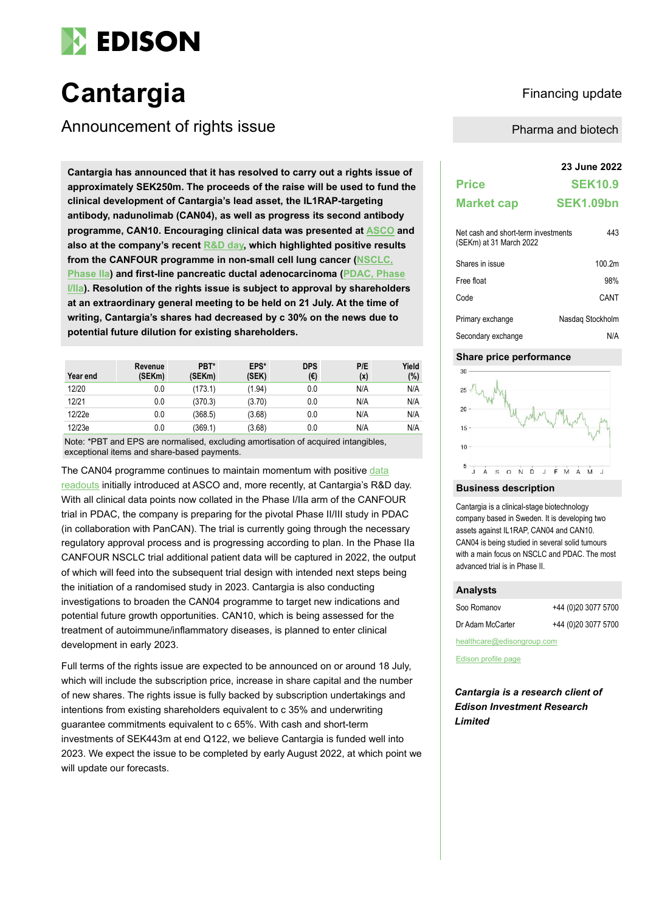

# Cantargia **Cantargia Financing update**

Announcement of rights issue **Announcement of rights** issue

**23 June 2022 Cantargia has announced that it has resolved to carry out a rights issue of approximately SEK250m. The proceeds of the raise will be used to fund the clinical development of Cantargia's lead asset, the IL1RAP-targeting antibody, nadunolimab (CAN04), as well as progress its second antibody programme, CAN10. Encouraging clinical data was presented at [ASCO](https://cantargia.com/en/press-releases/cantargia-presents-new-robust-data-at-asco-2022-confirming-promising-effects-of-nadunolimab-in-treatment-of-pancreatic-cancer) and also at the company's recent [R&D day,](https://cantargia.com/en/press-releases/cantargia-to-host-r-d-day-on-nadunolimab-combinational-synergy-in-pancreatic-cancer-and-non-small-cell-lung-cancer) which highlighted positive results from the CANFOUR programme in non-small cell lung cancer [\(NSCLC,](https://cantargia.com/en/press-releases/cantargia-asco-2022-presentation-strengthens-positive-phase-iia-interim-results-for-nadunolimab-in-nsclc)  [Phase IIa\)](https://cantargia.com/en/press-releases/cantargia-asco-2022-presentation-strengthens-positive-phase-iia-interim-results-for-nadunolimab-in-nsclc) and first-line pancreatic ductal adenocarcinoma [\(PDAC, Phase](https://cantargia.com/en/press-releases/cantargia-presents-new-robust-data-at-asco-2022-confirming-promising-effects-of-nadunolimab-in-treatment-of-pancreatic-cancer)  [I/IIa\).](https://cantargia.com/en/press-releases/cantargia-presents-new-robust-data-at-asco-2022-confirming-promising-effects-of-nadunolimab-in-treatment-of-pancreatic-cancer) Resolution of the rights issue is subject to approval by shareholders at an extraordinary general meeting to be held on 21 July. At the time of writing, Cantargia's shares had decreased by c 30% on the news due to potential future dilution for existing shareholders.**

| Year end | Revenue<br>(SEKm) | PBT*<br>(SEKm) | EPS*<br>(SEK) | <b>DPS</b><br>(€) | P/E<br>(x) | Yield<br>(%) |
|----------|-------------------|----------------|---------------|-------------------|------------|--------------|
| 12/20    | 0.0               | (173.1)        | (1.94)        | 0.0               | N/A        | N/A          |
| 12/21    | 0.0               | (370.3)        | (3.70)        | 0.0               | N/A        | N/A          |
| 12/22e   | 0.0               | (368.5)        | (3.68)        | 0.0               | N/A        | N/A          |
| 12/23e   | 0.0               | (369.1)        | (3.68)        | 0.0               | N/A        | N/A          |

Note: \*PBT and EPS are normalised, excluding amortisation of acquired intangibles, exceptional items and share-based payments.

The CAN04 programme continues to maintain momentum with positive data [readouts](https://www.edisongroup.com/wp-content/uploads/2022/05/Cantargia-ASCO-data-do-not-disappoint-1.pdf) initially introduced at ASCO and, more recently, at Cantargia's R&D day. With all clinical data points now collated in the Phase I/IIa arm of the CANFOUR trial in PDAC, the company is preparing for the pivotal Phase II/III study in PDAC (in collaboration with PanCAN). The trial is currently going through the necessary regulatory approval process and is progressing according to plan. In the Phase IIa CANFOUR NSCLC trial additional patient data will be captured in 2022, the output of which will feed into the subsequent trial design with intended next steps being the initiation of a randomised study in 2023. Cantargia is also conducting investigations to broaden the CAN04 programme to target new indications and potential future growth opportunities. CAN10, which is being assessed for the treatment of autoimmune/inflammatory diseases, is planned to enter clinical development in early 2023.

Full terms of the rights issue are expected to be announced on or around 18 July, which will include the subscription price, increase in share capital and the number of new shares. The rights issue is fully backed by subscription undertakings and intentions from existing shareholders equivalent to c 35% and underwriting guarantee commitments equivalent to c 65%. With cash and short-term investments of SEK443m at end Q122, we believe Cantargia is funded well into 2023. We expect the issue to be completed by early August 2022, at which point we will update our forecasts.

| <b>Price</b>                                                   | <b>SEK10.9</b>     |
|----------------------------------------------------------------|--------------------|
| <b>Market cap</b>                                              | <b>SEK1.09bn</b>   |
| Net cash and short-term investments<br>(SEKm) at 31 March 2022 | 443                |
| Shares in issue                                                | 100.2 <sub>m</sub> |
| Free float                                                     | 98%                |
| Code                                                           | CANT               |
| Primary exchange                                               | Nasdag Stockholm   |
| Secondary exchange                                             | N/A                |

# **Share price performance**



## **Business description**

Cantargia is a clinical-stage biotechnology company based in Sweden. It is developing two assets against IL1RAP, CAN04 and CAN10. CAN04 is being studied in several solid tumours with a main focus on NSCLC and PDAC. The most advanced trial is in Phase II.

# **Analysts**

| Soo Romanov      | +44 (0)20 3077 5700 |
|------------------|---------------------|
| Dr Adam McCarter | +44 (0)20 3077 5700 |

healthcare@edisongroup.com

[Edison profile page](https://www.edisongroup.com/company/cantargia/)

*Cantargia is a research client of Edison Investment Research Limited*